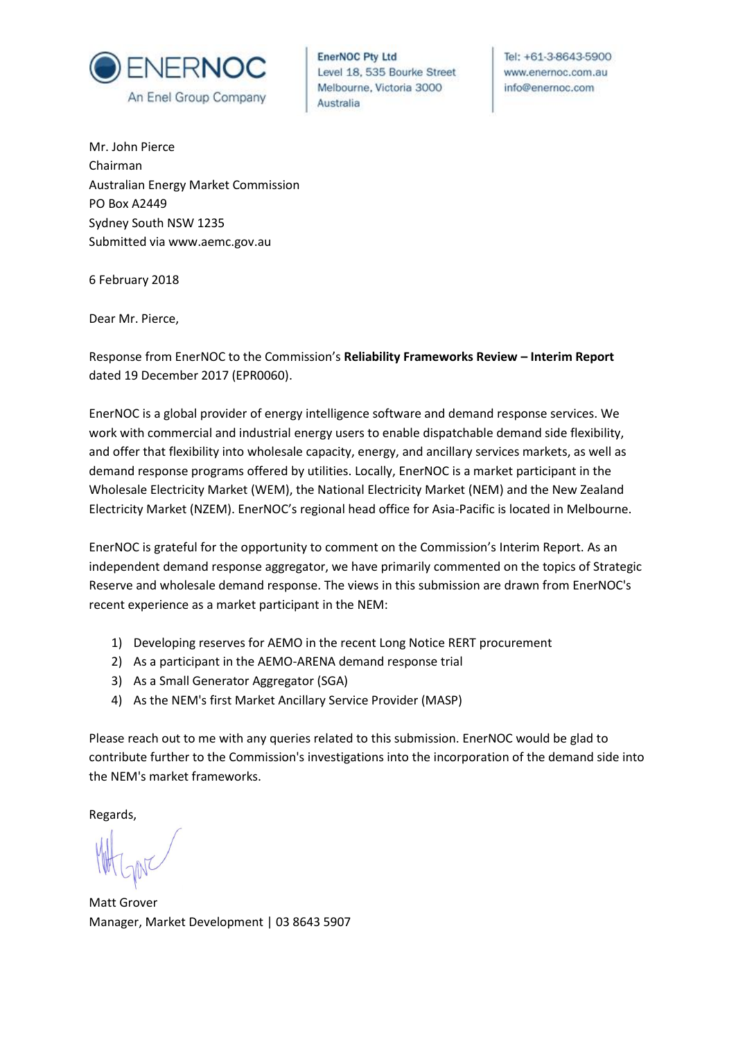

**EnerNOC Pty Ltd** Level 18, 535 Bourke Street Melbourne, Victoria 3000 Australia

Tel: +61-3-8643-5900 www.enernoc.com.au info@enernoc.com

Mr. John Pierce Chairman Australian Energy Market Commission PO Box A2449 Sydney South NSW 1235 Submitted via www.aemc.gov.au

6 February 2018

Dear Mr. Pierce,

Response from EnerNOC to the Commission's **Reliability Frameworks Review – Interim Report** dated 19 December 2017 (EPR0060).

EnerNOC is a global provider of energy intelligence software and demand response services. We work with commercial and industrial energy users to enable dispatchable demand side flexibility, and offer that flexibility into wholesale capacity, energy, and ancillary services markets, as well as demand response programs offered by utilities. Locally, EnerNOC is a market participant in the Wholesale Electricity Market (WEM), the National Electricity Market (NEM) and the New Zealand Electricity Market (NZEM). EnerNOC's regional head office for Asia-Pacific is located in Melbourne.

EnerNOC is grateful for the opportunity to comment on the Commission's Interim Report. As an independent demand response aggregator, we have primarily commented on the topics of Strategic Reserve and wholesale demand response. The views in this submission are drawn from EnerNOC's recent experience as a market participant in the NEM:

- 1) Developing reserves for AEMO in the recent Long Notice RERT procurement
- 2) As a participant in the AEMO-ARENA demand response trial
- 3) As a Small Generator Aggregator (SGA)
- 4) As the NEM's first Market Ancillary Service Provider (MASP)

Please reach out to me with any queries related to this submission. EnerNOC would be glad to contribute further to the Commission's investigations into the incorporation of the demand side into the NEM's market frameworks.

Regards,

Matt Grover Manager, Market Development | 03 8643 5907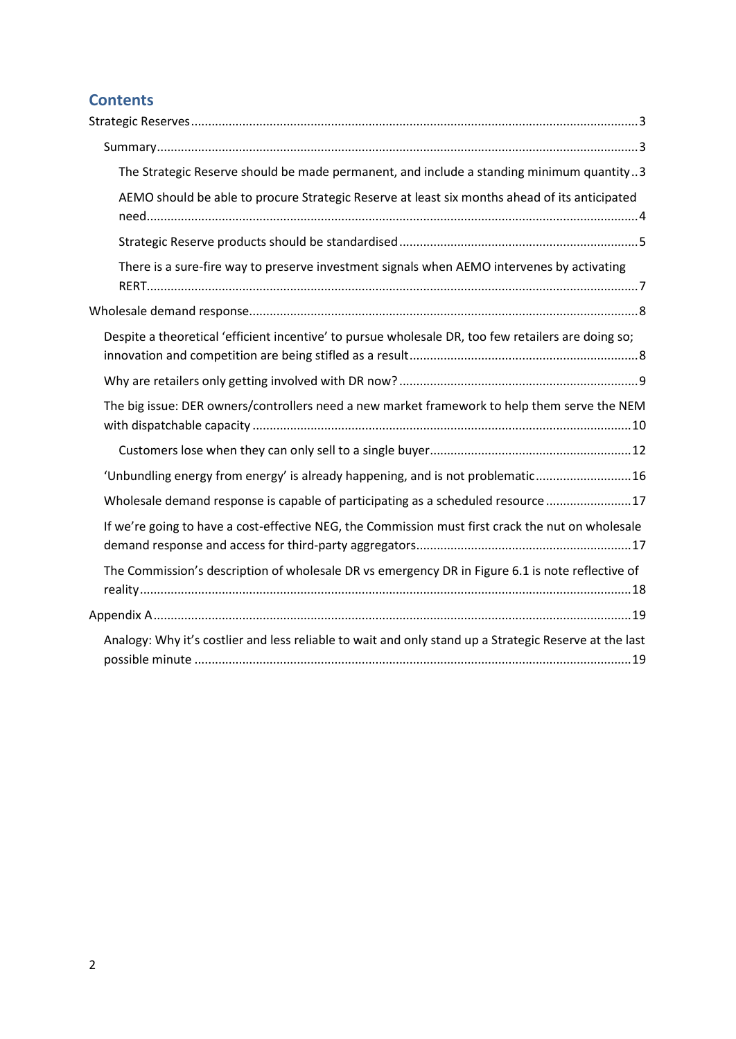# **Contents**

| The Strategic Reserve should be made permanent, and include a standing minimum quantity3               |
|--------------------------------------------------------------------------------------------------------|
| AEMO should be able to procure Strategic Reserve at least six months ahead of its anticipated          |
|                                                                                                        |
| There is a sure-fire way to preserve investment signals when AEMO intervenes by activating             |
|                                                                                                        |
| Despite a theoretical 'efficient incentive' to pursue wholesale DR, too few retailers are doing so;    |
|                                                                                                        |
| The big issue: DER owners/controllers need a new market framework to help them serve the NEM           |
|                                                                                                        |
| 'Unbundling energy from energy' is already happening, and is not problematic 16                        |
| Wholesale demand response is capable of participating as a scheduled resource 17                       |
| If we're going to have a cost-effective NEG, the Commission must first crack the nut on wholesale      |
| The Commission's description of wholesale DR vs emergency DR in Figure 6.1 is note reflective of       |
|                                                                                                        |
| Analogy: Why it's costlier and less reliable to wait and only stand up a Strategic Reserve at the last |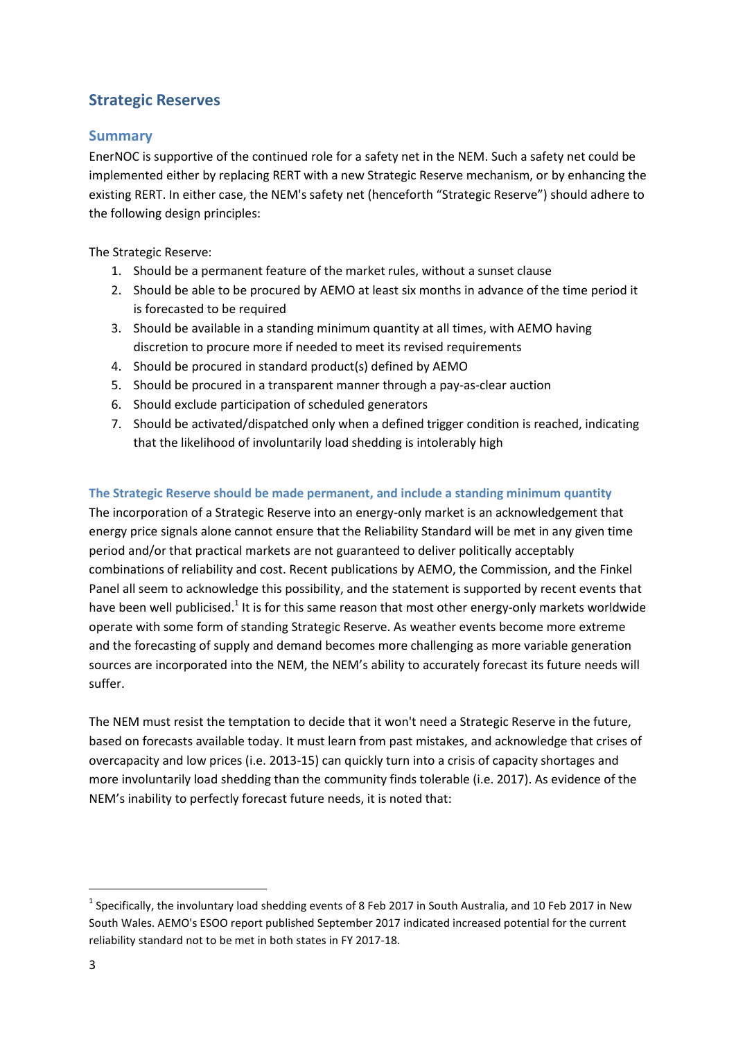## <span id="page-2-0"></span>**Strategic Reserves**

### <span id="page-2-1"></span>**Summary**

EnerNOC is supportive of the continued role for a safety net in the NEM. Such a safety net could be implemented either by replacing RERT with a new Strategic Reserve mechanism, or by enhancing the existing RERT. In either case, the NEM's safety net (henceforth "Strategic Reserve") should adhere to the following design principles:

The Strategic Reserve:

- 1. Should be a permanent feature of the market rules, without a sunset clause
- 2. Should be able to be procured by AEMO at least six months in advance of the time period it is forecasted to be required
- 3. Should be available in a standing minimum quantity at all times, with AEMO having discretion to procure more if needed to meet its revised requirements
- 4. Should be procured in standard product(s) defined by AEMO
- 5. Should be procured in a transparent manner through a pay-as-clear auction
- 6. Should exclude participation of scheduled generators
- 7. Should be activated/dispatched only when a defined trigger condition is reached, indicating that the likelihood of involuntarily load shedding is intolerably high

#### <span id="page-2-2"></span>**The Strategic Reserve should be made permanent, and include a standing minimum quantity**

The incorporation of a Strategic Reserve into an energy-only market is an acknowledgement that energy price signals alone cannot ensure that the Reliability Standard will be met in any given time period and/or that practical markets are not guaranteed to deliver politically acceptably combinations of reliability and cost. Recent publications by AEMO, the Commission, and the Finkel Panel all seem to acknowledge this possibility, and the statement is supported by recent events that have been well publicised.<sup>1</sup> It is for this same reason that most other energy-only markets worldwide operate with some form of standing Strategic Reserve. As weather events become more extreme and the forecasting of supply and demand becomes more challenging as more variable generation sources are incorporated into the NEM, the NEM's ability to accurately forecast its future needs will suffer.

The NEM must resist the temptation to decide that it won't need a Strategic Reserve in the future, based on forecasts available today. It must learn from past mistakes, and acknowledge that crises of overcapacity and low prices (i.e. 2013-15) can quickly turn into a crisis of capacity shortages and more involuntarily load shedding than the community finds tolerable (i.e. 2017). As evidence of the NEM's inability to perfectly forecast future needs, it is noted that:

<sup>&</sup>lt;sup>1</sup> Specifically, the involuntary load shedding events of 8 Feb 2017 in South Australia, and 10 Feb 2017 in New South Wales. AEMO's ESOO report published September 2017 indicated increased potential for the current reliability standard not to be met in both states in FY 2017-18.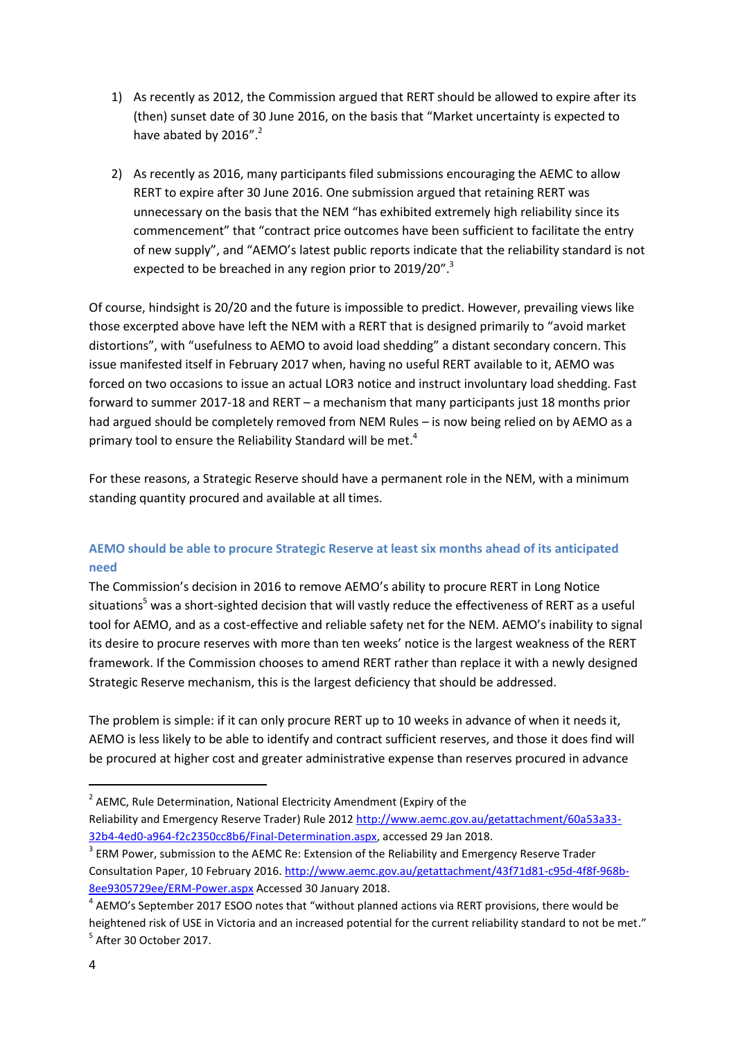- 1) As recently as 2012, the Commission argued that RERT should be allowed to expire after its (then) sunset date of 30 June 2016, on the basis that "Market uncertainty is expected to have abated by  $2016"$ .
- 2) As recently as 2016, many participants filed submissions encouraging the AEMC to allow RERT to expire after 30 June 2016. One submission argued that retaining RERT was unnecessary on the basis that the NEM "has exhibited extremely high reliability since its commencement" that "contract price outcomes have been sufficient to facilitate the entry of new supply", and "AEMO's latest public reports indicate that the reliability standard is not expected to be breached in any region prior to 2019/20".<sup>3</sup>

Of course, hindsight is 20/20 and the future is impossible to predict. However, prevailing views like those excerpted above have left the NEM with a RERT that is designed primarily to "avoid market distortions", with "usefulness to AEMO to avoid load shedding" a distant secondary concern. This issue manifested itself in February 2017 when, having no useful RERT available to it, AEMO was forced on two occasions to issue an actual LOR3 notice and instruct involuntary load shedding. Fast forward to summer 2017-18 and RERT – a mechanism that many participants just 18 months prior had argued should be completely removed from NEM Rules – is now being relied on by AEMO as a primary tool to ensure the Reliability Standard will be met.<sup>4</sup>

For these reasons, a Strategic Reserve should have a permanent role in the NEM, with a minimum standing quantity procured and available at all times.

### <span id="page-3-0"></span>**AEMO should be able to procure Strategic Reserve at least six months ahead of its anticipated need**

The Commission's decision in 2016 to remove AEMO's ability to procure RERT in Long Notice situations<sup>5</sup> was a short-sighted decision that will vastly reduce the effectiveness of RERT as a useful tool for AEMO, and as a cost-effective and reliable safety net for the NEM. AEMO's inability to signal its desire to procure reserves with more than ten weeks' notice is the largest weakness of the RERT framework. If the Commission chooses to amend RERT rather than replace it with a newly designed Strategic Reserve mechanism, this is the largest deficiency that should be addressed.

The problem is simple: if it can only procure RERT up to 10 weeks in advance of when it needs it, AEMO is less likely to be able to identify and contract sufficient reserves, and those it does find will be procured at higher cost and greater administrative expense than reserves procured in advance

 $^2$  AEMC, Rule Determination, National Electricity Amendment (Expiry of the Reliability and Emergency Reserve Trader) Rule 2012 [http://www.aemc.gov.au/getattachment/60a53a33-](http://www.aemc.gov.au/getattachment/60a53a33-32b4-4ed0-a964-f2c2350cc8b6/Final-Determination.aspx) [32b4-4ed0-a964-f2c2350cc8b6/Final-Determination.aspx,](http://www.aemc.gov.au/getattachment/60a53a33-32b4-4ed0-a964-f2c2350cc8b6/Final-Determination.aspx) accessed 29 Jan 2018.

 $3$  ERM Power, submission to the AEMC Re: Extension of the Reliability and Emergency Reserve Trader Consultation Paper, 10 February 2016[. http://www.aemc.gov.au/getattachment/43f71d81-c95d-4f8f-968b-](http://www.aemc.gov.au/getattachment/43f71d81-c95d-4f8f-968b-8ee9305729ee/ERM-Power.aspx)[8ee9305729ee/ERM-Power.aspx](http://www.aemc.gov.au/getattachment/43f71d81-c95d-4f8f-968b-8ee9305729ee/ERM-Power.aspx) Accessed 30 January 2018.

 $^4$  AEMO's September 2017 ESOO notes that "without planned actions via RERT provisions, there would be heightened risk of USE in Victoria and an increased potential for the current reliability standard to not be met."  $<sup>5</sup>$  After 30 October 2017.</sup>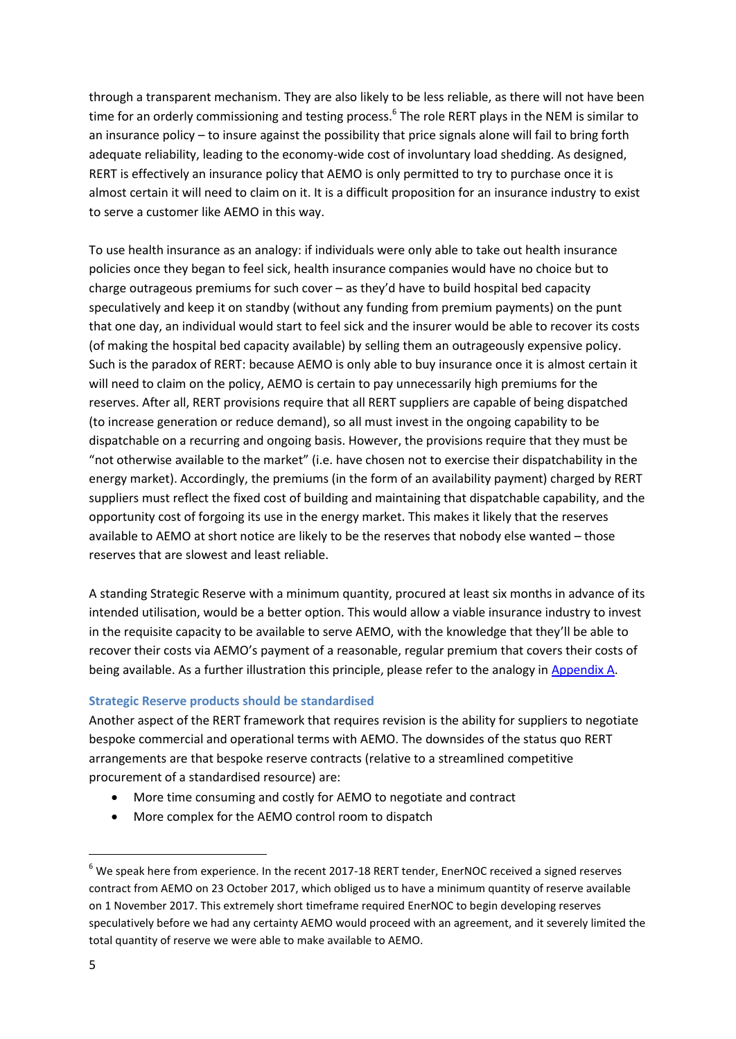through a transparent mechanism. They are also likely to be less reliable, as there will not have been time for an orderly commissioning and testing process.<sup>6</sup> The role RERT plays in the NEM is similar to an insurance policy – to insure against the possibility that price signals alone will fail to bring forth adequate reliability, leading to the economy-wide cost of involuntary load shedding. As designed, RERT is effectively an insurance policy that AEMO is only permitted to try to purchase once it is almost certain it will need to claim on it. It is a difficult proposition for an insurance industry to exist to serve a customer like AEMO in this way.

To use health insurance as an analogy: if individuals were only able to take out health insurance policies once they began to feel sick, health insurance companies would have no choice but to charge outrageous premiums for such cover – as they'd have to build hospital bed capacity speculatively and keep it on standby (without any funding from premium payments) on the punt that one day, an individual would start to feel sick and the insurer would be able to recover its costs (of making the hospital bed capacity available) by selling them an outrageously expensive policy. Such is the paradox of RERT: because AEMO is only able to buy insurance once it is almost certain it will need to claim on the policy, AEMO is certain to pay unnecessarily high premiums for the reserves. After all, RERT provisions require that all RERT suppliers are capable of being dispatched (to increase generation or reduce demand), so all must invest in the ongoing capability to be dispatchable on a recurring and ongoing basis. However, the provisions require that they must be "not otherwise available to the market" (i.e. have chosen not to exercise their dispatchability in the energy market). Accordingly, the premiums (in the form of an availability payment) charged by RERT suppliers must reflect the fixed cost of building and maintaining that dispatchable capability, and the opportunity cost of forgoing its use in the energy market. This makes it likely that the reserves available to AEMO at short notice are likely to be the reserves that nobody else wanted – those reserves that are slowest and least reliable.

A standing Strategic Reserve with a minimum quantity, procured at least six months in advance of its intended utilisation, would be a better option. This would allow a viable insurance industry to invest in the requisite capacity to be available to serve AEMO, with the knowledge that they'll be able to recover their costs via AEMO's payment of a reasonable, regular premium that covers their costs of being available. As a further illustration this principle, please refer to the analogy in [Appendix A.](#page-18-1)

#### <span id="page-4-0"></span>**Strategic Reserve products should be standardised**

Another aspect of the RERT framework that requires revision is the ability for suppliers to negotiate bespoke commercial and operational terms with AEMO. The downsides of the status quo RERT arrangements are that bespoke reserve contracts (relative to a streamlined competitive procurement of a standardised resource) are:

- More time consuming and costly for AEMO to negotiate and contract
- More complex for the AEMO control room to dispatch

 $6$  We speak here from experience. In the recent 2017-18 RERT tender, EnerNOC received a signed reserves contract from AEMO on 23 October 2017, which obliged us to have a minimum quantity of reserve available on 1 November 2017. This extremely short timeframe required EnerNOC to begin developing reserves speculatively before we had any certainty AEMO would proceed with an agreement, and it severely limited the total quantity of reserve we were able to make available to AEMO.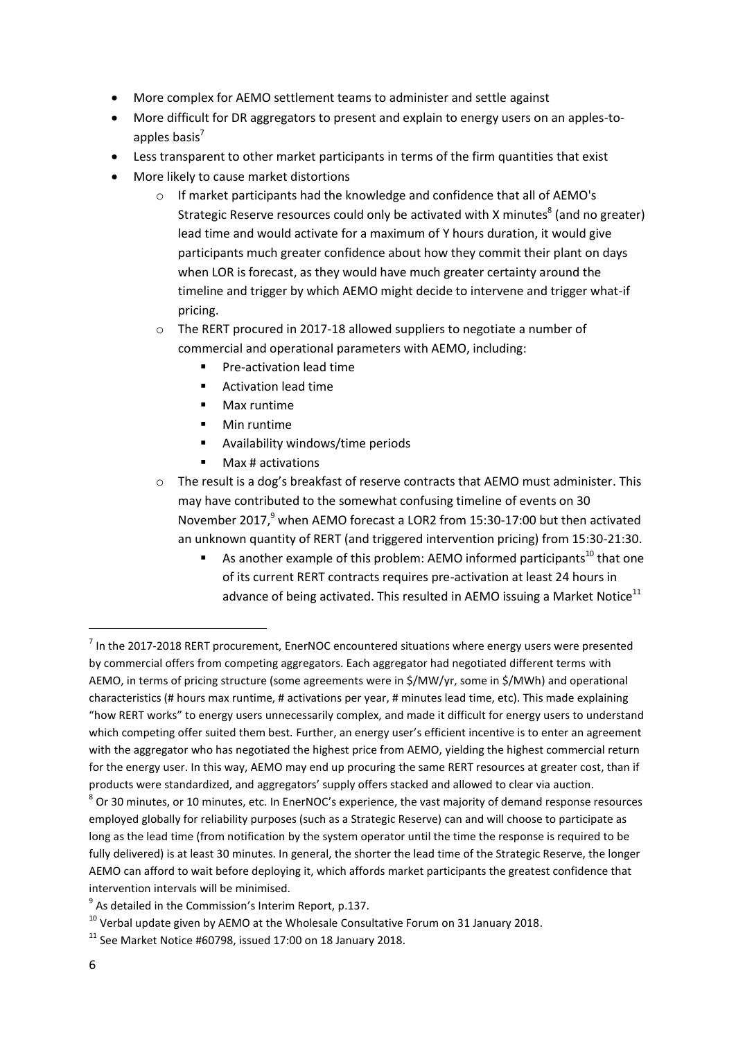- More complex for AEMO settlement teams to administer and settle against
- More difficult for DR aggregators to present and explain to energy users on an apples-toapples basis $<sup>7</sup>$ </sup>
- Less transparent to other market participants in terms of the firm quantities that exist
- More likely to cause market distortions
	- o If market participants had the knowledge and confidence that all of AEMO's Strategic Reserve resources could only be activated with X minutes<sup>8</sup> (and no greater) lead time and would activate for a maximum of Y hours duration, it would give participants much greater confidence about how they commit their plant on days when LOR is forecast, as they would have much greater certainty around the timeline and trigger by which AEMO might decide to intervene and trigger what-if pricing.
	- o The RERT procured in 2017-18 allowed suppliers to negotiate a number of commercial and operational parameters with AEMO, including:
		- **Pre-activation lead time**
		- **EXECUTE:** Activation lead time
		- Max runtime
		- **Min runtime**
		- Availability windows/time periods
		- **Max # activations**
	- $\circ$  The result is a dog's breakfast of reserve contracts that AEMO must administer. This may have contributed to the somewhat confusing timeline of events on 30 November 2017,<sup>9</sup> when AEMO forecast a LOR2 from 15:30-17:00 but then activated an unknown quantity of RERT (and triggered intervention pricing) from 15:30-21:30.
		- As another example of this problem: AEMO informed participants<sup>10</sup> that one of its current RERT contracts requires pre-activation at least 24 hours in advance of being activated. This resulted in AEMO issuing a Market Notice $^{11}$

 $^7$  In the 2017-2018 RERT procurement, EnerNOC encountered situations where energy users were presented by commercial offers from competing aggregators. Each aggregator had negotiated different terms with AEMO, in terms of pricing structure (some agreements were in \$/MW/yr, some in \$/MWh) and operational characteristics (# hours max runtime, # activations per year, # minutes lead time, etc). This made explaining "how RERT works" to energy users unnecessarily complex, and made it difficult for energy users to understand which competing offer suited them best. Further, an energy user's efficient incentive is to enter an agreement with the aggregator who has negotiated the highest price from AEMO, yielding the highest commercial return for the energy user. In this way, AEMO may end up procuring the same RERT resources at greater cost, than if products were standardized, and aggregators' supply offers stacked and allowed to clear via auction.

 $^8$  Or 30 minutes, or 10 minutes, etc. In EnerNOC's experience, the vast majority of demand response resources employed globally for reliability purposes (such as a Strategic Reserve) can and will choose to participate as long as the lead time (from notification by the system operator until the time the response is required to be fully delivered) is at least 30 minutes. In general, the shorter the lead time of the Strategic Reserve, the longer AEMO can afford to wait before deploying it, which affords market participants the greatest confidence that intervention intervals will be minimised.

 $^9$  As detailed in the Commission's Interim Report, p.137.

 $10$  Verbal update given by AEMO at the Wholesale Consultative Forum on 31 January 2018.

 $11$  See Market Notice #60798, issued 17:00 on 18 January 2018.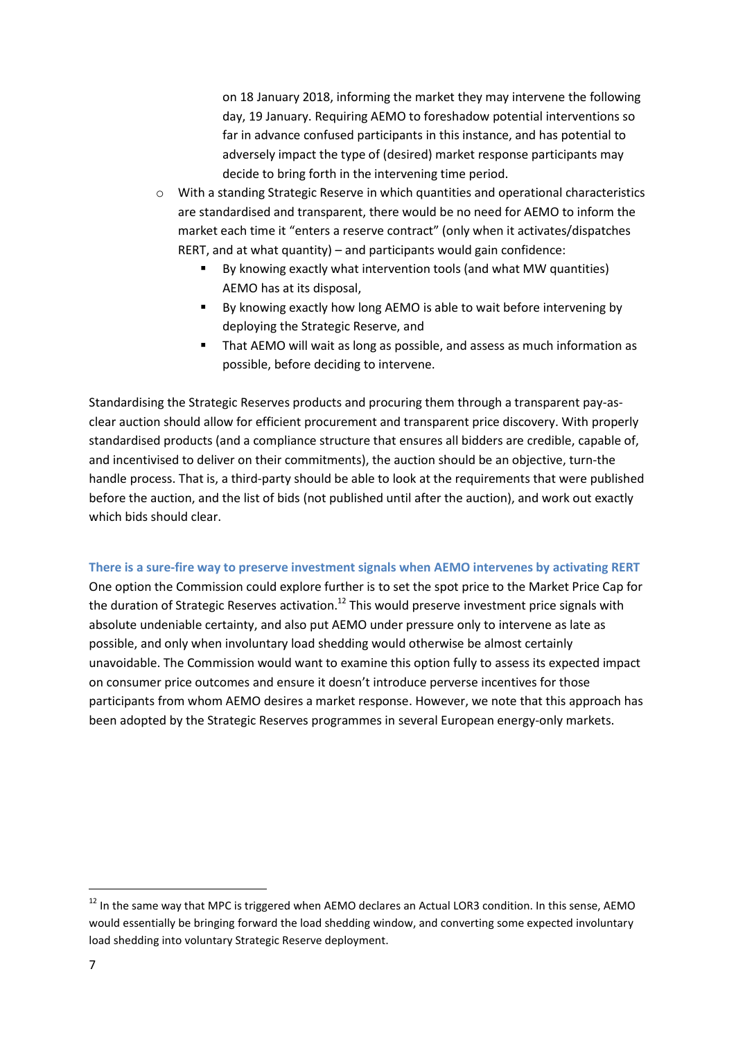on 18 January 2018, informing the market they may intervene the following day, 19 January. Requiring AEMO to foreshadow potential interventions so far in advance confused participants in this instance, and has potential to adversely impact the type of (desired) market response participants may decide to bring forth in the intervening time period.

- o With a standing Strategic Reserve in which quantities and operational characteristics are standardised and transparent, there would be no need for AEMO to inform the market each time it "enters a reserve contract" (only when it activates/dispatches RERT, and at what quantity) – and participants would gain confidence:
	- By knowing exactly what intervention tools (and what MW quantities) AEMO has at its disposal,
	- By knowing exactly how long AEMO is able to wait before intervening by deploying the Strategic Reserve, and
	- That AEMO will wait as long as possible, and assess as much information as possible, before deciding to intervene.

Standardising the Strategic Reserves products and procuring them through a transparent pay-asclear auction should allow for efficient procurement and transparent price discovery. With properly standardised products (and a compliance structure that ensures all bidders are credible, capable of, and incentivised to deliver on their commitments), the auction should be an objective, turn-the handle process. That is, a third-party should be able to look at the requirements that were published before the auction, and the list of bids (not published until after the auction), and work out exactly which bids should clear.

#### <span id="page-6-0"></span>**There is a sure-fire way to preserve investment signals when AEMO intervenes by activating RERT**

One option the Commission could explore further is to set the spot price to the Market Price Cap for the duration of Strategic Reserves activation.<sup>12</sup> This would preserve investment price signals with absolute undeniable certainty, and also put AEMO under pressure only to intervene as late as possible, and only when involuntary load shedding would otherwise be almost certainly unavoidable. The Commission would want to examine this option fully to assess its expected impact on consumer price outcomes and ensure it doesn't introduce perverse incentives for those participants from whom AEMO desires a market response. However, we note that this approach has been adopted by the Strategic Reserves programmes in several European energy-only markets.

<sup>&</sup>lt;sup>12</sup> In the same way that MPC is triggered when AEMO declares an Actual LOR3 condition. In this sense, AEMO would essentially be bringing forward the load shedding window, and converting some expected involuntary load shedding into voluntary Strategic Reserve deployment.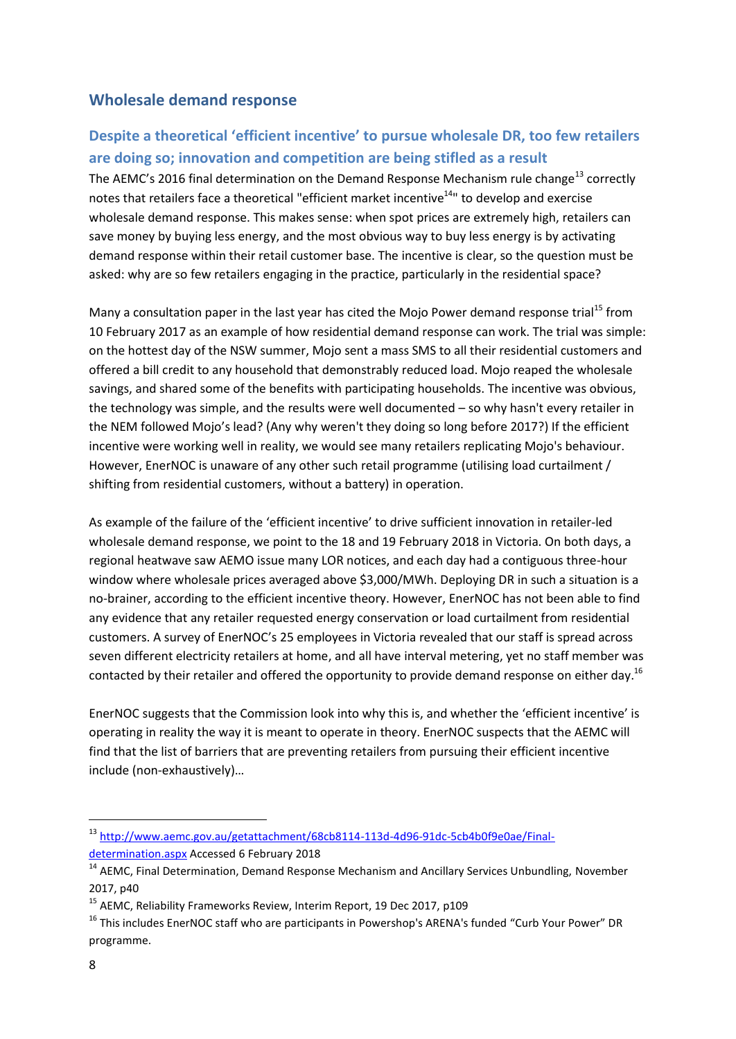## <span id="page-7-0"></span>**Wholesale demand response**

## <span id="page-7-1"></span>**Despite a theoretical 'efficient incentive' to pursue wholesale DR, too few retailers are doing so; innovation and competition are being stifled as a result**

The AEMC's 2016 final determination on the Demand Response Mechanism rule change<sup>13</sup> correctly notes that retailers face a theoretical "efficient market incentive<sup>14</sup>" to develop and exercise wholesale demand response. This makes sense: when spot prices are extremely high, retailers can save money by buying less energy, and the most obvious way to buy less energy is by activating demand response within their retail customer base. The incentive is clear, so the question must be asked: why are so few retailers engaging in the practice, particularly in the residential space?

Many a consultation paper in the last year has cited the Mojo Power demand response trial<sup>15</sup> from 10 February 2017 as an example of how residential demand response can work. The trial was simple: on the hottest day of the NSW summer, Mojo sent a mass SMS to all their residential customers and offered a bill credit to any household that demonstrably reduced load. Mojo reaped the wholesale savings, and shared some of the benefits with participating households. The incentive was obvious, the technology was simple, and the results were well documented – so why hasn't every retailer in the NEM followed Mojo's lead? (Any why weren't they doing so long before 2017?) If the efficient incentive were working well in reality, we would see many retailers replicating Mojo's behaviour. However, EnerNOC is unaware of any other such retail programme (utilising load curtailment / shifting from residential customers, without a battery) in operation.

As example of the failure of the 'efficient incentive' to drive sufficient innovation in retailer-led wholesale demand response, we point to the 18 and 19 February 2018 in Victoria. On both days, a regional heatwave saw AEMO issue many LOR notices, and each day had a contiguous three-hour window where wholesale prices averaged above \$3,000/MWh. Deploying DR in such a situation is a no-brainer, according to the efficient incentive theory. However, EnerNOC has not been able to find any evidence that any retailer requested energy conservation or load curtailment from residential customers. A survey of EnerNOC's 25 employees in Victoria revealed that our staff is spread across seven different electricity retailers at home, and all have interval metering, yet no staff member was contacted by their retailer and offered the opportunity to provide demand response on either day.<sup>16</sup>

EnerNOC suggests that the Commission look into why this is, and whether the 'efficient incentive' is operating in reality the way it is meant to operate in theory. EnerNOC suspects that the AEMC will find that the list of barriers that are preventing retailers from pursuing their efficient incentive include (non-exhaustively)…

<sup>13</sup> [http://www.aemc.gov.au/getattachment/68cb8114-113d-4d96-91dc-5cb4b0f9e0ae/Final-](http://www.aemc.gov.au/getattachment/68cb8114-113d-4d96-91dc-5cb4b0f9e0ae/Final-determination.aspx)

[determination.aspx](http://www.aemc.gov.au/getattachment/68cb8114-113d-4d96-91dc-5cb4b0f9e0ae/Final-determination.aspx) Accessed 6 February 2018

<sup>&</sup>lt;sup>14</sup> AEMC, Final Determination, Demand Response Mechanism and Ancillary Services Unbundling, November 2017, p40

<sup>&</sup>lt;sup>15</sup> AEMC, Reliability Frameworks Review, Interim Report, 19 Dec 2017, p109

<sup>&</sup>lt;sup>16</sup> This includes EnerNOC staff who are participants in Powershop's ARENA's funded "Curb Your Power" DR programme.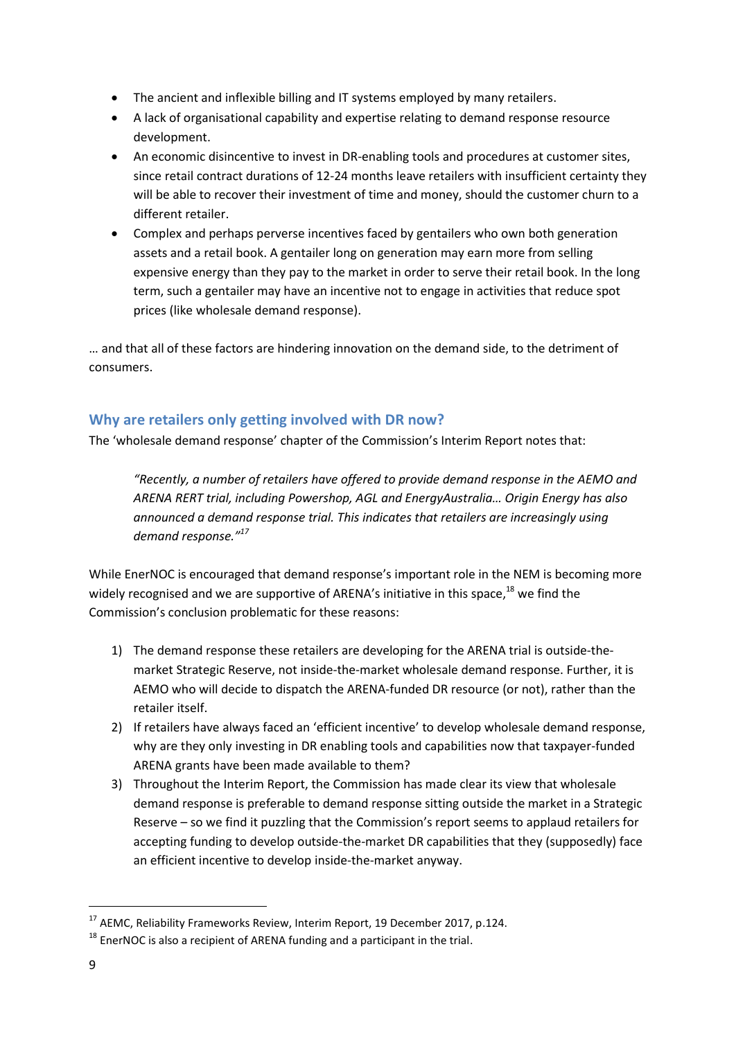- The ancient and inflexible billing and IT systems employed by many retailers.
- A lack of organisational capability and expertise relating to demand response resource development.
- An economic disincentive to invest in DR-enabling tools and procedures at customer sites, since retail contract durations of 12-24 months leave retailers with insufficient certainty they will be able to recover their investment of time and money, should the customer churn to a different retailer.
- Complex and perhaps perverse incentives faced by gentailers who own both generation assets and a retail book. A gentailer long on generation may earn more from selling expensive energy than they pay to the market in order to serve their retail book. In the long term, such a gentailer may have an incentive not to engage in activities that reduce spot prices (like wholesale demand response).

… and that all of these factors are hindering innovation on the demand side, to the detriment of consumers.

### <span id="page-8-0"></span>**Why are retailers only getting involved with DR now?**

The 'wholesale demand response' chapter of the Commission's Interim Report notes that:

*"Recently, a number of retailers have offered to provide demand response in the AEMO and ARENA RERT trial, including Powershop, AGL and EnergyAustralia… Origin Energy has also announced a demand response trial. This indicates that retailers are increasingly using demand response." 17*

While EnerNOC is encouraged that demand response's important role in the NEM is becoming more widely recognised and we are supportive of ARENA's initiative in this space,<sup>18</sup> we find the Commission's conclusion problematic for these reasons:

- 1) The demand response these retailers are developing for the ARENA trial is outside-themarket Strategic Reserve, not inside-the-market wholesale demand response. Further, it is AEMO who will decide to dispatch the ARENA-funded DR resource (or not), rather than the retailer itself.
- 2) If retailers have always faced an 'efficient incentive' to develop wholesale demand response, why are they only investing in DR enabling tools and capabilities now that taxpayer-funded ARENA grants have been made available to them?
- 3) Throughout the Interim Report, the Commission has made clear its view that wholesale demand response is preferable to demand response sitting outside the market in a Strategic Reserve – so we find it puzzling that the Commission's report seems to applaud retailers for accepting funding to develop outside-the-market DR capabilities that they (supposedly) face an efficient incentive to develop inside-the-market anyway.

l

<sup>&</sup>lt;sup>17</sup> AEMC, Reliability Frameworks Review, Interim Report, 19 December 2017, p.124.

 $18$  EnerNOC is also a recipient of ARENA funding and a participant in the trial.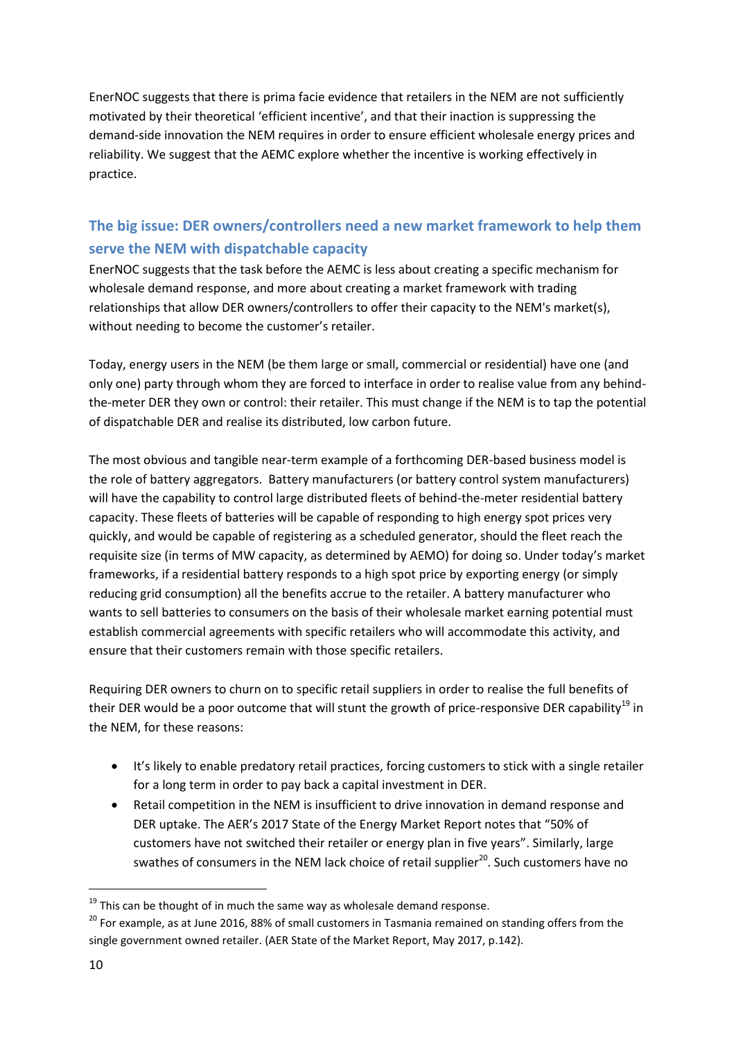EnerNOC suggests that there is prima facie evidence that retailers in the NEM are not sufficiently motivated by their theoretical 'efficient incentive', and that their inaction is suppressing the demand-side innovation the NEM requires in order to ensure efficient wholesale energy prices and reliability. We suggest that the AEMC explore whether the incentive is working effectively in practice.

# <span id="page-9-0"></span>**The big issue: DER owners/controllers need a new market framework to help them serve the NEM with dispatchable capacity**

EnerNOC suggests that the task before the AEMC is less about creating a specific mechanism for wholesale demand response, and more about creating a market framework with trading relationships that allow DER owners/controllers to offer their capacity to the NEM's market(s), without needing to become the customer's retailer.

Today, energy users in the NEM (be them large or small, commercial or residential) have one (and only one) party through whom they are forced to interface in order to realise value from any behindthe-meter DER they own or control: their retailer. This must change if the NEM is to tap the potential of dispatchable DER and realise its distributed, low carbon future.

The most obvious and tangible near-term example of a forthcoming DER-based business model is the role of battery aggregators. Battery manufacturers (or battery control system manufacturers) will have the capability to control large distributed fleets of behind-the-meter residential battery capacity. These fleets of batteries will be capable of responding to high energy spot prices very quickly, and would be capable of registering as a scheduled generator, should the fleet reach the requisite size (in terms of MW capacity, as determined by AEMO) for doing so. Under today's market frameworks, if a residential battery responds to a high spot price by exporting energy (or simply reducing grid consumption) all the benefits accrue to the retailer. A battery manufacturer who wants to sell batteries to consumers on the basis of their wholesale market earning potential must establish commercial agreements with specific retailers who will accommodate this activity, and ensure that their customers remain with those specific retailers.

Requiring DER owners to churn on to specific retail suppliers in order to realise the full benefits of their DER would be a poor outcome that will stunt the growth of price-responsive DER capability<sup>19</sup> in the NEM, for these reasons:

- It's likely to enable predatory retail practices, forcing customers to stick with a single retailer for a long term in order to pay back a capital investment in DER.
- Retail competition in the NEM is insufficient to drive innovation in demand response and DER uptake. The AER's 2017 State of the Energy Market Report notes that "50% of customers have not switched their retailer or energy plan in five years". Similarly, large swathes of consumers in the NEM lack choice of retail supplier<sup>20</sup>. Such customers have no

 $19$  This can be thought of in much the same way as wholesale demand response.

<sup>&</sup>lt;sup>20</sup> For example, as at June 2016, 88% of small customers in Tasmania remained on standing offers from the single government owned retailer. (AER State of the Market Report, May 2017, p.142).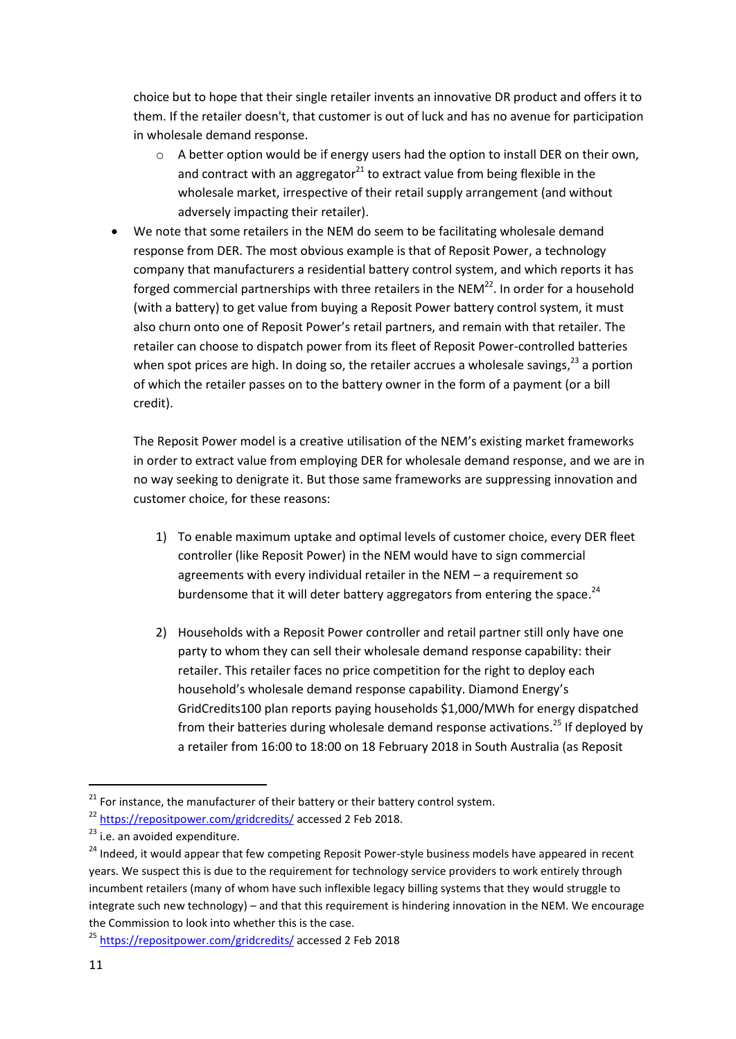choice but to hope that their single retailer invents an innovative DR product and offers it to them. If the retailer doesn't, that customer is out of luck and has no avenue for participation in wholesale demand response.

- $\circ$  A better option would be if energy users had the option to install DER on their own, and contract with an aggregator $^{21}$  to extract value from being flexible in the wholesale market, irrespective of their retail supply arrangement (and without adversely impacting their retailer).
- We note that some retailers in the NEM do seem to be facilitating wholesale demand response from DER. The most obvious example is that of Reposit Power, a technology company that manufacturers a residential battery control system, and which reports it has forged commercial partnerships with three retailers in the NEM $^{22}$ . In order for a household (with a battery) to get value from buying a Reposit Power battery control system, it must also churn onto one of Reposit Power's retail partners, and remain with that retailer. The retailer can choose to dispatch power from its fleet of Reposit Power-controlled batteries when spot prices are high. In doing so, the retailer accrues a wholesale savings,<sup>23</sup> a portion of which the retailer passes on to the battery owner in the form of a payment (or a bill credit).

The Reposit Power model is a creative utilisation of the NEM's existing market frameworks in order to extract value from employing DER for wholesale demand response, and we are in no way seeking to denigrate it. But those same frameworks are suppressing innovation and customer choice, for these reasons:

- 1) To enable maximum uptake and optimal levels of customer choice, every DER fleet controller (like Reposit Power) in the NEM would have to sign commercial agreements with every individual retailer in the NEM – a requirement so burdensome that it will deter battery aggregators from entering the space.<sup>24</sup>
- 2) Households with a Reposit Power controller and retail partner still only have one party to whom they can sell their wholesale demand response capability: their retailer. This retailer faces no price competition for the right to deploy each household's wholesale demand response capability. Diamond Energy's GridCredits100 plan reports paying households \$1,000/MWh for energy dispatched from their batteries during wholesale demand response activations.<sup>25</sup> If deployed by a retailer from 16:00 to 18:00 on 18 February 2018 in South Australia (as Reposit

 $21$  For instance, the manufacturer of their battery or their battery control system.

<sup>&</sup>lt;sup>22</sup> <https://repositpower.com/gridcredits/> accessed 2 Feb 2018.

 $23$  i.e. an avoided expenditure.

<sup>&</sup>lt;sup>24</sup> Indeed, it would appear that few competing Reposit Power-style business models have appeared in recent years. We suspect this is due to the requirement for technology service providers to work entirely through incumbent retailers (many of whom have such inflexible legacy billing systems that they would struggle to integrate such new technology) – and that this requirement is hindering innovation in the NEM. We encourage the Commission to look into whether this is the case.

<sup>25</sup> <https://repositpower.com/gridcredits/> accessed 2 Feb 2018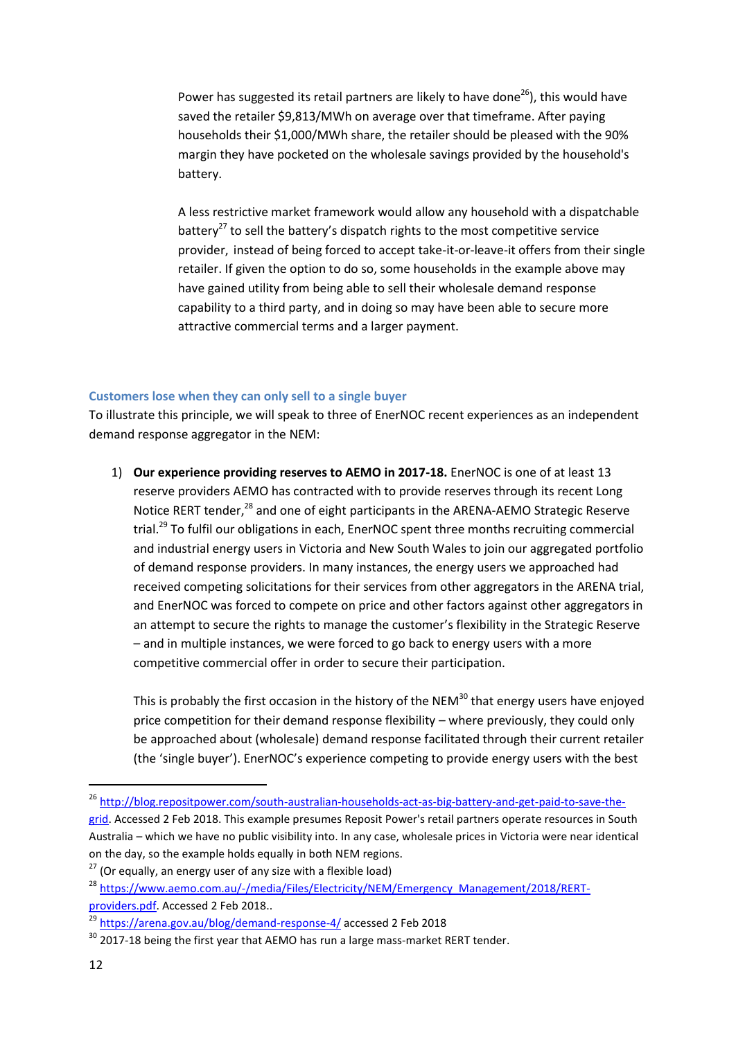Power has suggested its retail partners are likely to have done $^{26}$ ), this would have saved the retailer \$9,813/MWh on average over that timeframe. After paying households their \$1,000/MWh share, the retailer should be pleased with the 90% margin they have pocketed on the wholesale savings provided by the household's battery.

A less restrictive market framework would allow any household with a dispatchable battery<sup>27</sup> to sell the battery's dispatch rights to the most competitive service provider, instead of being forced to accept take-it-or-leave-it offers from their single retailer. If given the option to do so, some households in the example above may have gained utility from being able to sell their wholesale demand response capability to a third party, and in doing so may have been able to secure more attractive commercial terms and a larger payment.

#### <span id="page-11-0"></span>**Customers lose when they can only sell to a single buyer**

To illustrate this principle, we will speak to three of EnerNOC recent experiences as an independent demand response aggregator in the NEM:

1) **Our experience providing reserves to AEMO in 2017-18.** EnerNOC is one of at least 13 reserve providers AEMO has contracted with to provide reserves through its recent Long Notice RERT tender,<sup>28</sup> and one of eight participants in the ARENA-AEMO Strategic Reserve trial.<sup>29</sup> To fulfil our obligations in each, EnerNOC spent three months recruiting commercial and industrial energy users in Victoria and New South Wales to join our aggregated portfolio of demand response providers. In many instances, the energy users we approached had received competing solicitations for their services from other aggregators in the ARENA trial, and EnerNOC was forced to compete on price and other factors against other aggregators in an attempt to secure the rights to manage the customer's flexibility in the Strategic Reserve – and in multiple instances, we were forced to go back to energy users with a more competitive commercial offer in order to secure their participation.

This is probably the first occasion in the history of the NEM $^{30}$  that energy users have enjoyed price competition for their demand response flexibility – where previously, they could only be approached about (wholesale) demand response facilitated through their current retailer (the 'single buyer'). EnerNOC's experience competing to provide energy users with the best

<sup>&</sup>lt;sup>26</sup> [http://blog.repositpower.com/south-australian-households-act-as-big-battery-and-get-paid-to-save-the-](http://blog.repositpower.com/south-australian-households-act-as-big-battery-and-get-paid-to-save-the-grid)

[grid.](http://blog.repositpower.com/south-australian-households-act-as-big-battery-and-get-paid-to-save-the-grid) Accessed 2 Feb 2018. This example presumes Reposit Power's retail partners operate resources in South Australia – which we have no public visibility into. In any case, wholesale prices in Victoria were near identical on the day, so the example holds equally in both NEM regions.

 $27$  (Or equally, an energy user of any size with a flexible load)

<sup>&</sup>lt;sup>28</sup> [https://www.aemo.com.au/-/media/Files/Electricity/NEM/Emergency\\_Management/2018/RERT](https://www.aemo.com.au/-/media/Files/Electricity/NEM/Emergency_Management/2018/RERT-providers.pdf)[providers.pdf.](https://www.aemo.com.au/-/media/Files/Electricity/NEM/Emergency_Management/2018/RERT-providers.pdf) Accessed 2 Feb 2018..

<sup>&</sup>lt;sup>29</sup> <https://arena.gov.au/blog/demand-response-4/> accessed 2 Feb 2018

 $30$  2017-18 being the first year that AEMO has run a large mass-market RERT tender.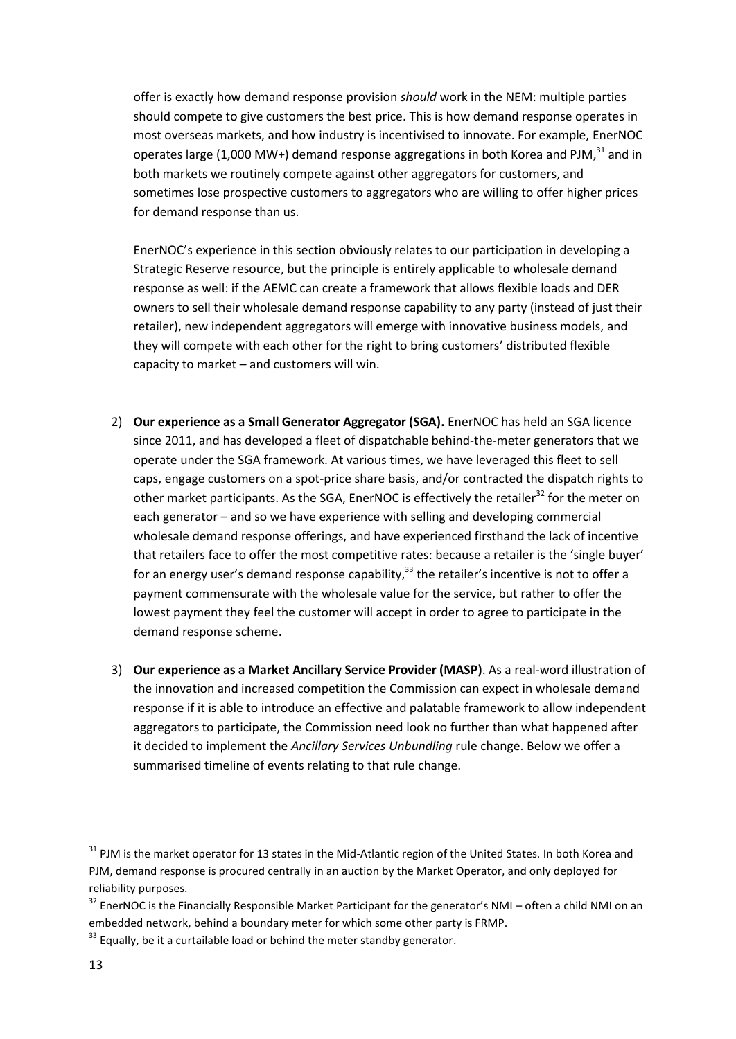offer is exactly how demand response provision *should* work in the NEM: multiple parties should compete to give customers the best price. This is how demand response operates in most overseas markets, and how industry is incentivised to innovate. For example, EnerNOC operates large (1,000 MW+) demand response aggregations in both Korea and PJM, $^{31}$  and in both markets we routinely compete against other aggregators for customers, and sometimes lose prospective customers to aggregators who are willing to offer higher prices for demand response than us.

EnerNOC's experience in this section obviously relates to our participation in developing a Strategic Reserve resource, but the principle is entirely applicable to wholesale demand response as well: if the AEMC can create a framework that allows flexible loads and DER owners to sell their wholesale demand response capability to any party (instead of just their retailer), new independent aggregators will emerge with innovative business models, and they will compete with each other for the right to bring customers' distributed flexible capacity to market – and customers will win.

- 2) **Our experience as a Small Generator Aggregator (SGA).** EnerNOC has held an SGA licence since 2011, and has developed a fleet of dispatchable behind-the-meter generators that we operate under the SGA framework. At various times, we have leveraged this fleet to sell caps, engage customers on a spot-price share basis, and/or contracted the dispatch rights to other market participants. As the SGA, EnerNOC is effectively the retailer<sup>32</sup> for the meter on each generator – and so we have experience with selling and developing commercial wholesale demand response offerings, and have experienced firsthand the lack of incentive that retailers face to offer the most competitive rates: because a retailer is the 'single buyer' for an energy user's demand response capability,<sup>33</sup> the retailer's incentive is not to offer a payment commensurate with the wholesale value for the service, but rather to offer the lowest payment they feel the customer will accept in order to agree to participate in the demand response scheme.
- 3) **Our experience as a Market Ancillary Service Provider (MASP)**. As a real-word illustration of the innovation and increased competition the Commission can expect in wholesale demand response if it is able to introduce an effective and palatable framework to allow independent aggregators to participate, the Commission need look no further than what happened after it decided to implement the *Ancillary Services Unbundling* rule change. Below we offer a summarised timeline of events relating to that rule change.

<sup>&</sup>lt;sup>31</sup> PJM is the market operator for 13 states in the Mid-Atlantic region of the United States. In both Korea and PJM, demand response is procured centrally in an auction by the Market Operator, and only deployed for reliability purposes.

<sup>&</sup>lt;sup>32</sup> EnerNOC is the Financially Responsible Market Participant for the generator's NMI – often a child NMI on an embedded network, behind a boundary meter for which some other party is FRMP.

 $33$  Equally, be it a curtailable load or behind the meter standby generator.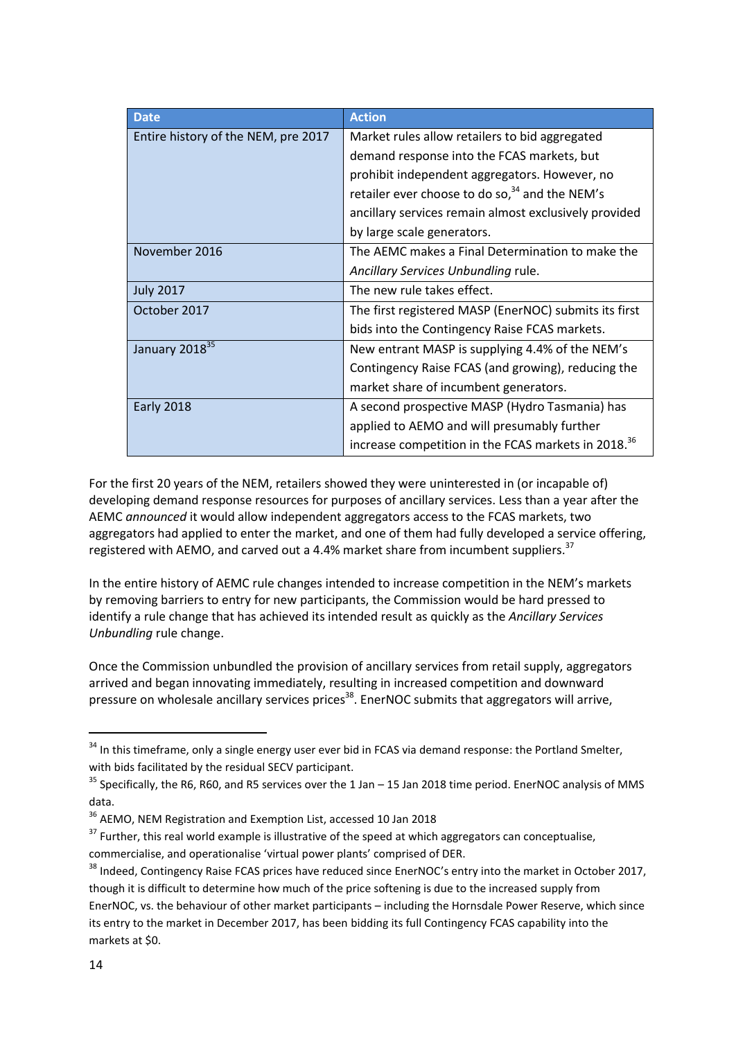| <b>Date</b>                         | <b>Action</b>                                                   |  |
|-------------------------------------|-----------------------------------------------------------------|--|
| Entire history of the NEM, pre 2017 | Market rules allow retailers to bid aggregated                  |  |
|                                     | demand response into the FCAS markets, but                      |  |
|                                     | prohibit independent aggregators. However, no                   |  |
|                                     | retailer ever choose to do so, <sup>34</sup> and the NEM's      |  |
|                                     | ancillary services remain almost exclusively provided           |  |
|                                     | by large scale generators.                                      |  |
| November 2016                       | The AEMC makes a Final Determination to make the                |  |
|                                     | Ancillary Services Unbundling rule.                             |  |
| <b>July 2017</b>                    | The new rule takes effect.                                      |  |
| October 2017                        | The first registered MASP (EnerNOC) submits its first           |  |
|                                     | bids into the Contingency Raise FCAS markets.                   |  |
| January 2018 <sup>35</sup>          | New entrant MASP is supplying 4.4% of the NEM's                 |  |
|                                     | Contingency Raise FCAS (and growing), reducing the              |  |
|                                     | market share of incumbent generators.                           |  |
| <b>Early 2018</b>                   | A second prospective MASP (Hydro Tasmania) has                  |  |
|                                     | applied to AEMO and will presumably further                     |  |
|                                     | increase competition in the FCAS markets in 2018. <sup>36</sup> |  |

For the first 20 years of the NEM, retailers showed they were uninterested in (or incapable of) developing demand response resources for purposes of ancillary services. Less than a year after the AEMC *announced* it would allow independent aggregators access to the FCAS markets, two aggregators had applied to enter the market, and one of them had fully developed a service offering, registered with AEMO, and carved out a 4.4% market share from incumbent suppliers.<sup>37</sup>

In the entire history of AEMC rule changes intended to increase competition in the NEM's markets by removing barriers to entry for new participants, the Commission would be hard pressed to identify a rule change that has achieved its intended result as quickly as the *Ancillary Services Unbundling* rule change.

Once the Commission unbundled the provision of ancillary services from retail supply, aggregators arrived and began innovating immediately, resulting in increased competition and downward pressure on wholesale ancillary services prices<sup>38</sup>. EnerNOC submits that aggregators will arrive,

<sup>&</sup>lt;sup>34</sup> In this timeframe, only a single energy user ever bid in FCAS via demand response: the Portland Smelter, with bids facilitated by the residual SECV participant.

 $35$  Specifically, the R6, R60, and R5 services over the 1 Jan – 15 Jan 2018 time period. EnerNOC analysis of MMS data.

<sup>36</sup> AEMO, NEM Registration and Exemption List, accessed 10 Jan 2018

 $37$  Further, this real world example is illustrative of the speed at which aggregators can conceptualise, commercialise, and operationalise 'virtual power plants' comprised of DER.

<sup>&</sup>lt;sup>38</sup> Indeed, Contingency Raise FCAS prices have reduced since EnerNOC's entry into the market in October 2017, though it is difficult to determine how much of the price softening is due to the increased supply from EnerNOC, vs. the behaviour of other market participants – including the Hornsdale Power Reserve, which since its entry to the market in December 2017, has been bidding its full Contingency FCAS capability into the markets at \$0.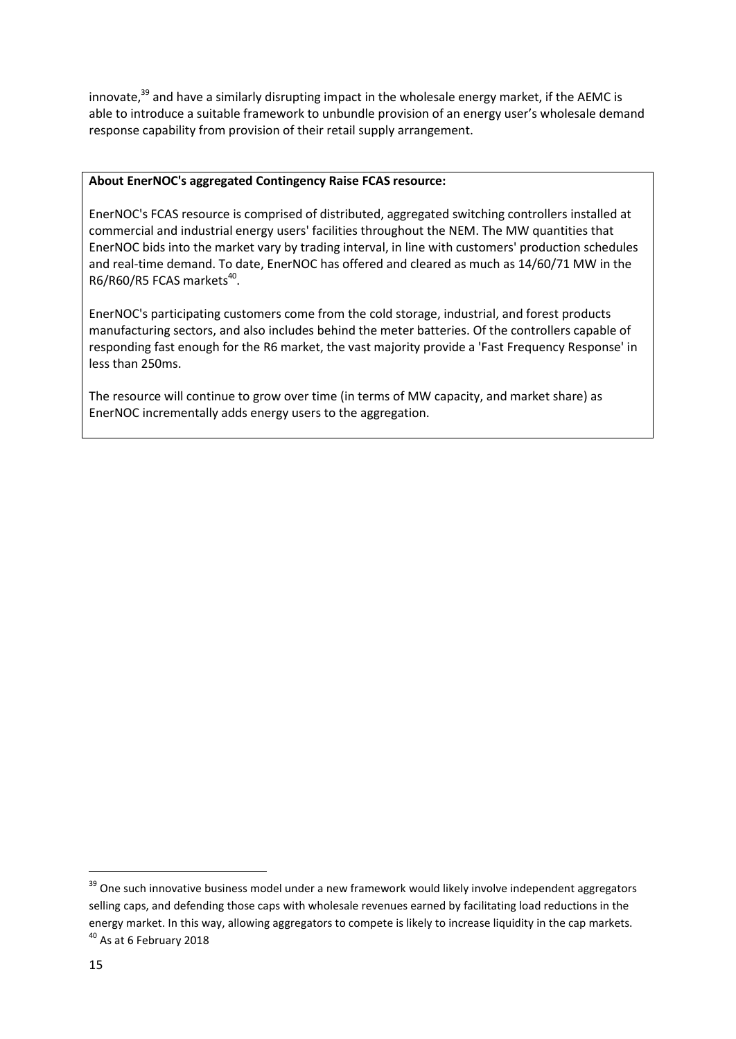innovate,<sup>39</sup> and have a similarly disrupting impact in the wholesale energy market, if the AEMC is able to introduce a suitable framework to unbundle provision of an energy user's wholesale demand response capability from provision of their retail supply arrangement.

#### **About EnerNOC's aggregated Contingency Raise FCAS resource:**

EnerNOC's FCAS resource is comprised of distributed, aggregated switching controllers installed at commercial and industrial energy users' facilities throughout the NEM. The MW quantities that EnerNOC bids into the market vary by trading interval, in line with customers' production schedules and real-time demand. To date, EnerNOC has offered and cleared as much as 14/60/71 MW in the  $R6/R60/R5$  FCAS markets<sup>40</sup>.

EnerNOC's participating customers come from the cold storage, industrial, and forest products manufacturing sectors, and also includes behind the meter batteries. Of the controllers capable of responding fast enough for the R6 market, the vast majority provide a 'Fast Frequency Response' in less than 250ms.

The resource will continue to grow over time (in terms of MW capacity, and market share) as EnerNOC incrementally adds energy users to the aggregation.

l

<sup>&</sup>lt;sup>39</sup> One such innovative business model under a new framework would likely involve independent aggregators selling caps, and defending those caps with wholesale revenues earned by facilitating load reductions in the energy market. In this way, allowing aggregators to compete is likely to increase liquidity in the cap markets.  $40$  As at 6 February 2018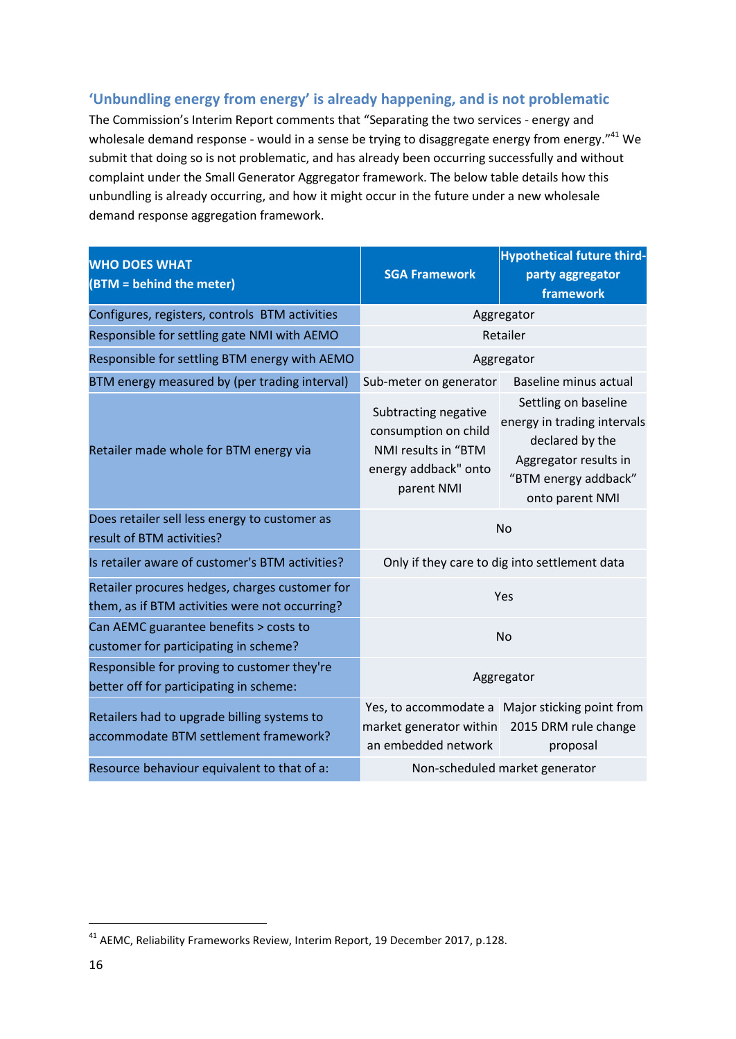## <span id="page-15-0"></span>**'Unbundling energy from energy' is already happening, and is not problematic**

The Commission's Interim Report comments that "Separating the two services - energy and wholesale demand response - would in a sense be trying to disaggregate energy from energy."<sup>41</sup> We submit that doing so is not problematic, and has already been occurring successfully and without complaint under the Small Generator Aggregator framework. The below table details how this unbundling is already occurring, and how it might occur in the future under a new wholesale demand response aggregation framework.

| <b>WHO DOES WHAT</b><br>(BTM = behind the meter)                                                 | <b>SGA Framework</b>                                                                                      | <b>Hypothetical future third-</b><br>party aggregator<br>framework                                                                         |  |
|--------------------------------------------------------------------------------------------------|-----------------------------------------------------------------------------------------------------------|--------------------------------------------------------------------------------------------------------------------------------------------|--|
| Configures, registers, controls BTM activities                                                   | Aggregator                                                                                                |                                                                                                                                            |  |
| Responsible for settling gate NMI with AEMO                                                      | Retailer                                                                                                  |                                                                                                                                            |  |
| Responsible for settling BTM energy with AEMO                                                    | Aggregator                                                                                                |                                                                                                                                            |  |
| BTM energy measured by (per trading interval)                                                    | Sub-meter on generator                                                                                    | <b>Baseline minus actual</b>                                                                                                               |  |
| Retailer made whole for BTM energy via                                                           | Subtracting negative<br>consumption on child<br>NMI results in "BTM<br>energy addback" onto<br>parent NMI | Settling on baseline<br>energy in trading intervals<br>declared by the<br>Aggregator results in<br>"BTM energy addback"<br>onto parent NMI |  |
| Does retailer sell less energy to customer as<br>result of BTM activities?                       | <b>No</b>                                                                                                 |                                                                                                                                            |  |
| Is retailer aware of customer's BTM activities?                                                  | Only if they care to dig into settlement data                                                             |                                                                                                                                            |  |
| Retailer procures hedges, charges customer for<br>them, as if BTM activities were not occurring? | Yes                                                                                                       |                                                                                                                                            |  |
| Can AEMC guarantee benefits > costs to<br>customer for participating in scheme?                  | <b>No</b>                                                                                                 |                                                                                                                                            |  |
| Responsible for proving to customer they're<br>better off for participating in scheme:           | Aggregator                                                                                                |                                                                                                                                            |  |
| Retailers had to upgrade billing systems to<br>accommodate BTM settlement framework?             | market generator within 2015 DRM rule change<br>an embedded network                                       | Yes, to accommodate a Major sticking point from<br>proposal                                                                                |  |
| Resource behaviour equivalent to that of a:                                                      | Non-scheduled market generator                                                                            |                                                                                                                                            |  |

<sup>&</sup>lt;sup>41</sup> AEMC, Reliability Frameworks Review, Interim Report, 19 December 2017, p.128.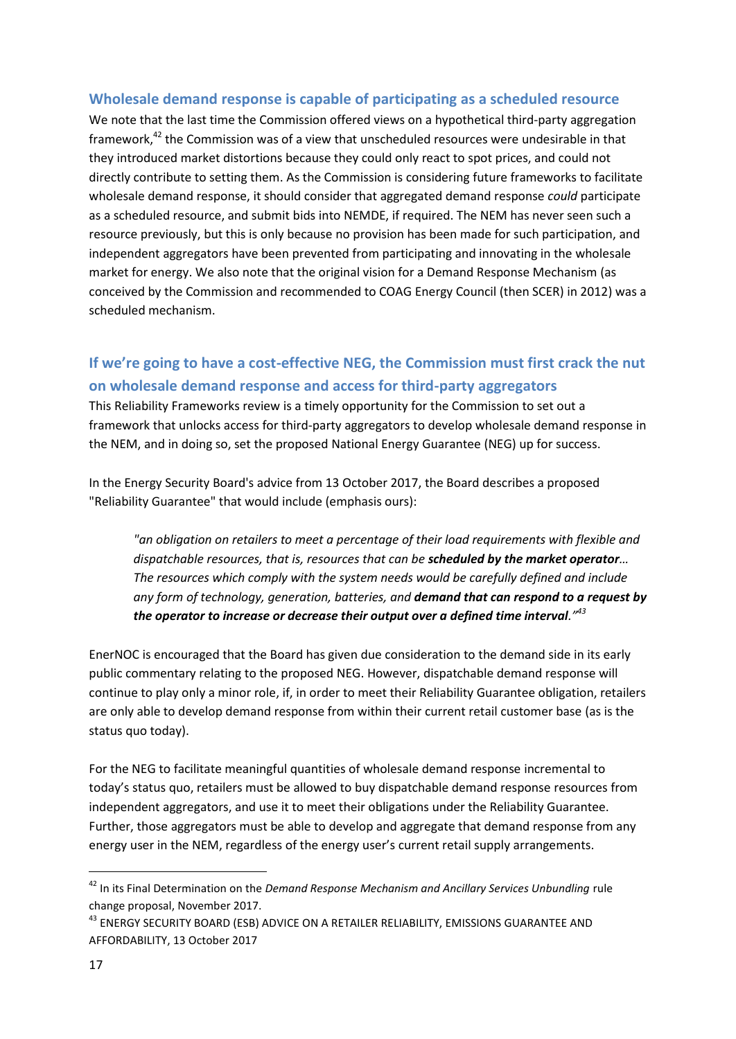### <span id="page-16-0"></span>**Wholesale demand response is capable of participating as a scheduled resource**

We note that the last time the Commission offered views on a hypothetical third-party aggregation framework,<sup>42</sup> the Commission was of a view that unscheduled resources were undesirable in that they introduced market distortions because they could only react to spot prices, and could not directly contribute to setting them. As the Commission is considering future frameworks to facilitate wholesale demand response, it should consider that aggregated demand response *could* participate as a scheduled resource, and submit bids into NEMDE, if required. The NEM has never seen such a resource previously, but this is only because no provision has been made for such participation, and independent aggregators have been prevented from participating and innovating in the wholesale market for energy. We also note that the original vision for a Demand Response Mechanism (as conceived by the Commission and recommended to COAG Energy Council (then SCER) in 2012) was a scheduled mechanism.

# <span id="page-16-1"></span>**If we're going to have a cost-effective NEG, the Commission must first crack the nut on wholesale demand response and access for third-party aggregators**

This Reliability Frameworks review is a timely opportunity for the Commission to set out a framework that unlocks access for third-party aggregators to develop wholesale demand response in the NEM, and in doing so, set the proposed National Energy Guarantee (NEG) up for success.

In the Energy Security Board's advice from 13 October 2017, the Board describes a proposed "Reliability Guarantee" that would include (emphasis ours):

*"an obligation on retailers to meet a percentage of their load requirements with flexible and dispatchable resources, that is, resources that can be scheduled by the market operator… The resources which comply with the system needs would be carefully defined and include any form of technology, generation, batteries, and demand that can respond to a request by the operator to increase or decrease their output over a defined time interval."<sup>43</sup>*

EnerNOC is encouraged that the Board has given due consideration to the demand side in its early public commentary relating to the proposed NEG. However, dispatchable demand response will continue to play only a minor role, if, in order to meet their Reliability Guarantee obligation, retailers are only able to develop demand response from within their current retail customer base (as is the status quo today).

For the NEG to facilitate meaningful quantities of wholesale demand response incremental to today's status quo, retailers must be allowed to buy dispatchable demand response resources from independent aggregators, and use it to meet their obligations under the Reliability Guarantee. Further, those aggregators must be able to develop and aggregate that demand response from any energy user in the NEM, regardless of the energy user's current retail supply arrangements.

l

<sup>42</sup> In its Final Determination on the *Demand Response Mechanism and Ancillary Services Unbundling* rule change proposal, November 2017.

<sup>&</sup>lt;sup>43</sup> ENERGY SECURITY BOARD (ESB) ADVICE ON A RETAILER RELIABILITY, EMISSIONS GUARANTEE AND AFFORDABILITY, 13 October 2017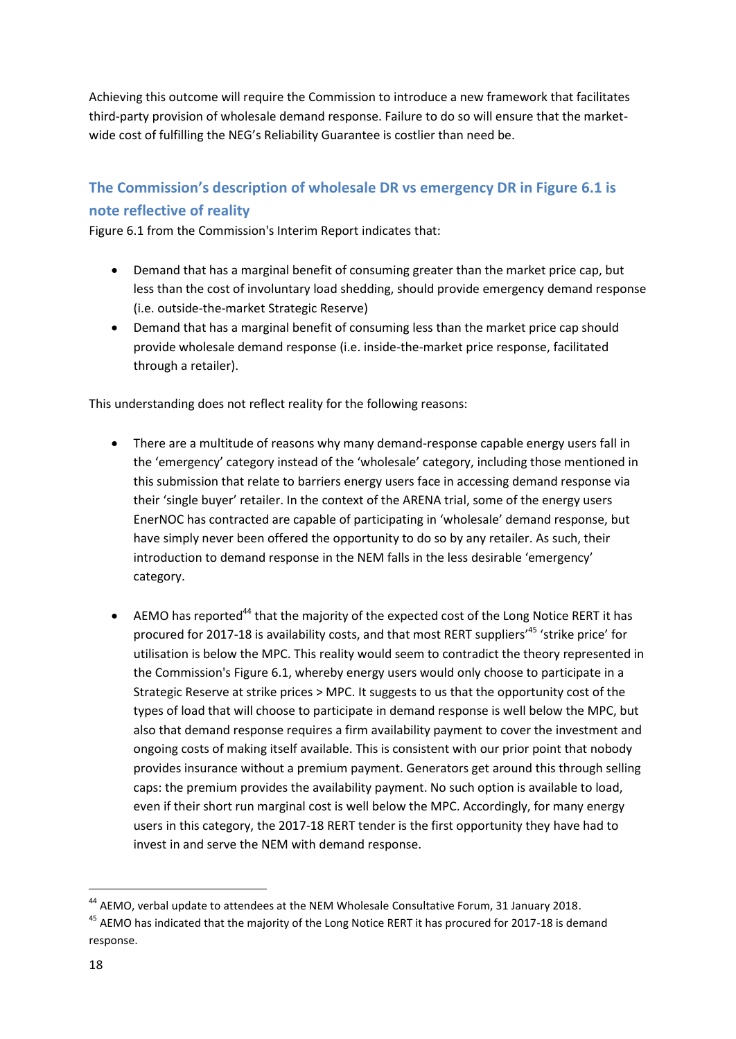Achieving this outcome will require the Commission to introduce a new framework that facilitates third-party provision of wholesale demand response. Failure to do so will ensure that the marketwide cost of fulfilling the NEG's Reliability Guarantee is costlier than need be.

# <span id="page-17-0"></span>**The Commission's description of wholesale DR vs emergency DR in Figure 6.1 is note reflective of reality**

Figure 6.1 from the Commission's Interim Report indicates that:

- Demand that has a marginal benefit of consuming greater than the market price cap, but less than the cost of involuntary load shedding, should provide emergency demand response (i.e. outside-the-market Strategic Reserve)
- Demand that has a marginal benefit of consuming less than the market price cap should provide wholesale demand response (i.e. inside-the-market price response, facilitated through a retailer).

This understanding does not reflect reality for the following reasons:

- There are a multitude of reasons why many demand-response capable energy users fall in the 'emergency' category instead of the 'wholesale' category, including those mentioned in this submission that relate to barriers energy users face in accessing demand response via their 'single buyer' retailer. In the context of the ARENA trial, some of the energy users EnerNOC has contracted are capable of participating in 'wholesale' demand response, but have simply never been offered the opportunity to do so by any retailer. As such, their introduction to demand response in the NEM falls in the less desirable 'emergency' category.
- AEMO has reported<sup>44</sup> that the majority of the expected cost of the Long Notice RERT it has procured for 2017-18 is availability costs, and that most RERT suppliers'<sup>45</sup> 'strike price' for utilisation is below the MPC. This reality would seem to contradict the theory represented in the Commission's Figure 6.1, whereby energy users would only choose to participate in a Strategic Reserve at strike prices > MPC. It suggests to us that the opportunity cost of the types of load that will choose to participate in demand response is well below the MPC, but also that demand response requires a firm availability payment to cover the investment and ongoing costs of making itself available. This is consistent with our prior point that nobody provides insurance without a premium payment. Generators get around this through selling caps: the premium provides the availability payment. No such option is available to load, even if their short run marginal cost is well below the MPC. Accordingly, for many energy users in this category, the 2017-18 RERT tender is the first opportunity they have had to invest in and serve the NEM with demand response.

<sup>&</sup>lt;sup>44</sup> AEMO, verbal update to attendees at the NEM Wholesale Consultative Forum, 31 January 2018.

<sup>&</sup>lt;sup>45</sup> AEMO has indicated that the majority of the Long Notice RERT it has procured for 2017-18 is demand response.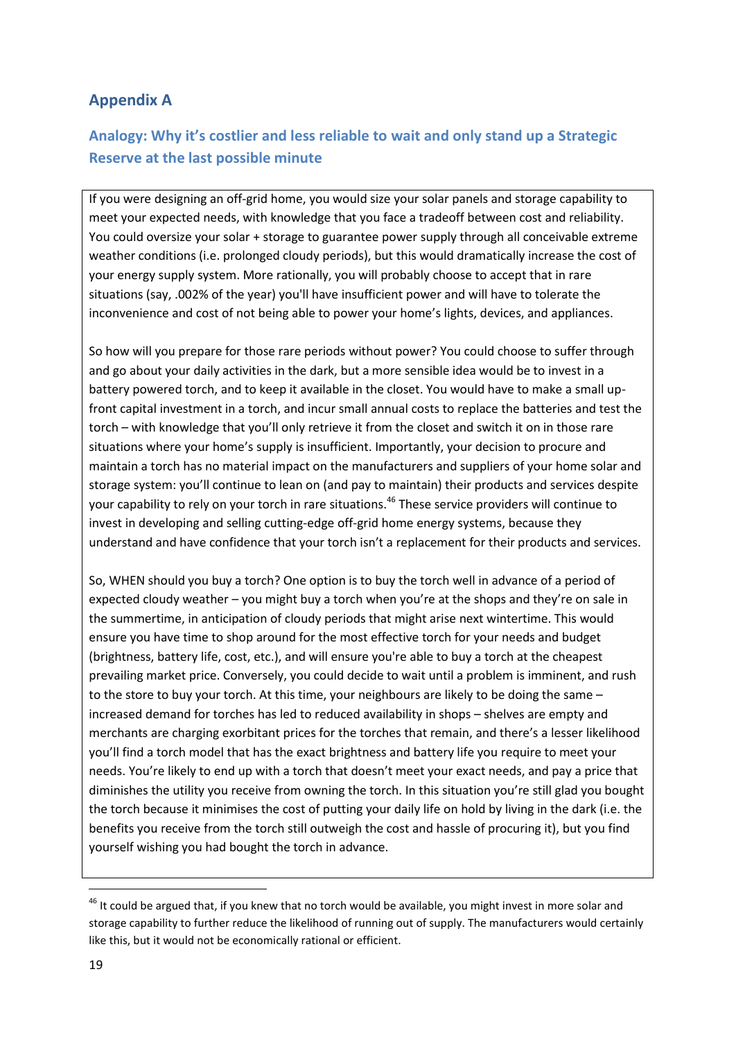## <span id="page-18-0"></span>**Appendix A**

# <span id="page-18-1"></span>**Analogy: Why it's costlier and less reliable to wait and only stand up a Strategic Reserve at the last possible minute**

If you were designing an off-grid home, you would size your solar panels and storage capability to meet your expected needs, with knowledge that you face a tradeoff between cost and reliability. You could oversize your solar + storage to guarantee power supply through all conceivable extreme weather conditions (i.e. prolonged cloudy periods), but this would dramatically increase the cost of your energy supply system. More rationally, you will probably choose to accept that in rare situations (say, .002% of the year) you'll have insufficient power and will have to tolerate the inconvenience and cost of not being able to power your home's lights, devices, and appliances.

So how will you prepare for those rare periods without power? You could choose to suffer through and go about your daily activities in the dark, but a more sensible idea would be to invest in a battery powered torch, and to keep it available in the closet. You would have to make a small upfront capital investment in a torch, and incur small annual costs to replace the batteries and test the torch – with knowledge that you'll only retrieve it from the closet and switch it on in those rare situations where your home's supply is insufficient. Importantly, your decision to procure and maintain a torch has no material impact on the manufacturers and suppliers of your home solar and storage system: you'll continue to lean on (and pay to maintain) their products and services despite your capability to rely on your torch in rare situations.<sup>46</sup> These service providers will continue to invest in developing and selling cutting-edge off-grid home energy systems, because they understand and have confidence that your torch isn't a replacement for their products and services.

So, WHEN should you buy a torch? One option is to buy the torch well in advance of a period of expected cloudy weather – you might buy a torch when you're at the shops and they're on sale in the summertime, in anticipation of cloudy periods that might arise next wintertime. This would ensure you have time to shop around for the most effective torch for your needs and budget (brightness, battery life, cost, etc.), and will ensure you're able to buy a torch at the cheapest prevailing market price. Conversely, you could decide to wait until a problem is imminent, and rush to the store to buy your torch. At this time, your neighbours are likely to be doing the same – increased demand for torches has led to reduced availability in shops – shelves are empty and merchants are charging exorbitant prices for the torches that remain, and there's a lesser likelihood you'll find a torch model that has the exact brightness and battery life you require to meet your needs. You're likely to end up with a torch that doesn't meet your exact needs, and pay a price that diminishes the utility you receive from owning the torch. In this situation you're still glad you bought the torch because it minimises the cost of putting your daily life on hold by living in the dark (i.e. the benefits you receive from the torch still outweigh the cost and hassle of procuring it), but you find yourself wishing you had bought the torch in advance.

 $46$  It could be argued that, if you knew that no torch would be available, you might invest in more solar and storage capability to further reduce the likelihood of running out of supply. The manufacturers would certainly like this, but it would not be economically rational or efficient.